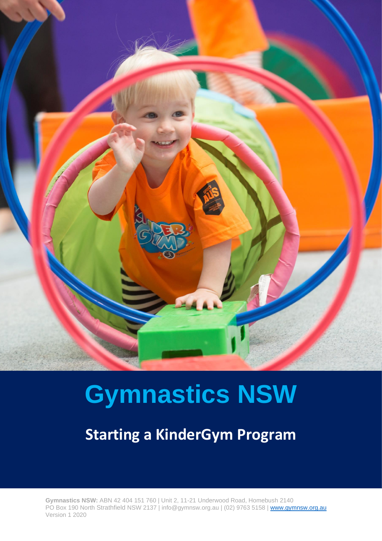

# **Gymnastics NSW**

**Starting a KinderGym Program**

**Gymnastics NSW:** ABN 42 404 151 760 | Unit 2, 11-21 Underwood Road, Homebush 2140 PO Box 190 North Strathfield NSW 2137 | [info@gymnsw.org.au](mailto:info@gymnsw.org.au) | (02) 9763 5158 | [www.gymnsw.org.au](http://www.gymnsw.org.au/) Version 1 2020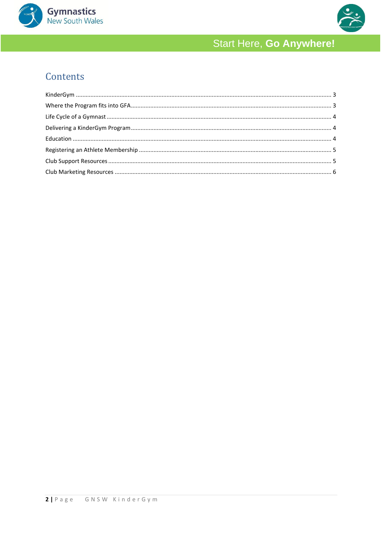



# Contents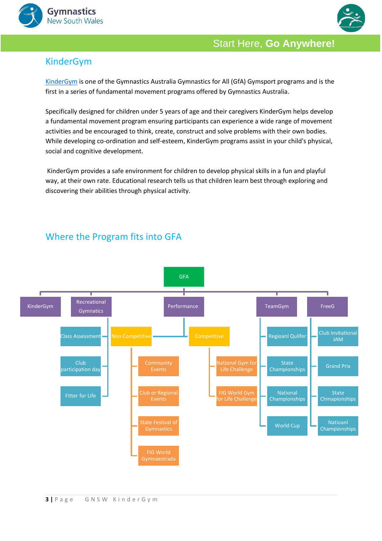



#### <span id="page-2-0"></span>KinderGym

[KinderGym](https://www.gymnastics.org.au/Shared_Content/Gymsports/GfA/KinderGym.aspx) is one of the Gymnastics Australia Gymnastics for All (GfA) Gymsport programs and is the first in a series of fundamental movement programs offered by Gymnastics Australia.

Specifically designed for children under 5 years of age and their caregivers KinderGym helps develop a fundamental movement program ensuring participants can experience a wide range of movement activities and be encouraged to think, create, construct and solve problems with their own bodies. While developing co-ordination and self-esteem, KinderGym programs assist in your child's physical, social and cognitive development.

KinderGym provides a safe environment for children to develop physical skills in a fun and playful way, at their own rate. Educational research tells us that children learn best through exploring and discovering their abilities through physical activity.

# <span id="page-2-1"></span>Where the Program fits into GFA

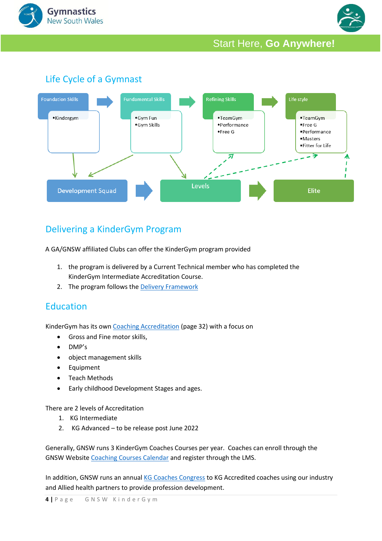



# <span id="page-3-0"></span>Life Cycle of a Gymnast



#### <span id="page-3-1"></span>Delivering a KinderGym Program

A GA/GNSW affiliated Clubs can offer the KinderGym program provided

- 1. the program is delivered by a Current Technical member who has completed the KinderGym Intermediate Accreditation Course.
- 2. The program follows the [Delivery Framework](file:///C:/Users/gfa.GYMNSW/Downloads/Delivery_Framework_Updated_Dec21%20(3).pdf)

#### <span id="page-3-2"></span>**Education**

KinderGym has its own [Coaching Accreditation](file:///C:/Users/gfa.GYMNSW/Downloads/OP25%20-%20Coach%20Accreditation%20Policy%20-%2007122021%20(1).pdf) (page 32) with a focus on

- Gross and Fine motor skills,
- DMP's
- object management skills
- **Equipment**
- Teach Methods
- Early childhood Development Stages and ages.

There are 2 levels of Accreditation

- 1. KG Intermediate
- 2. KG Advanced to be release post June 2022

Generally, GNSW runs 3 KinderGym Coaches Courses per year. Coaches can enroll through the GNSW Website [Coaching Courses Calendar](http://www.gymnsw.org.au/NSW/NSW/Education/2021_Coach_Calendar.aspx) and register through the LMS.

In addition, GNSW runs an annual [KG Coaches Congress](https://www.gymnsw.org.au/NSW/Education/KinderGym_Conference/NSW/Education/2022_KinderGym_Conference.aspx?hkey=ff78ef0c-de74-410d-a99e-65426c0bec90) to KG Accredited coaches using our industry and Allied health partners to provide profession development.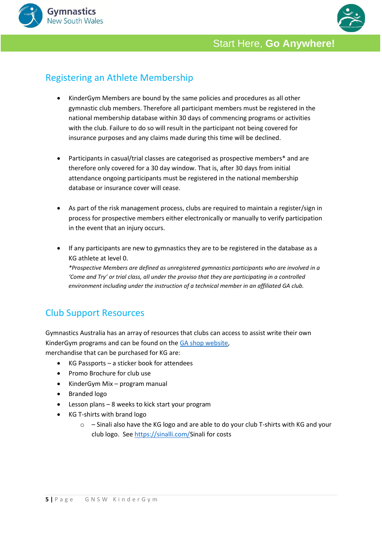



## <span id="page-4-0"></span>Registering an Athlete Membership

- KinderGym Members are bound by the same policies and procedures as all other gymnastic club members. Therefore all participant members must be registered in the national membership database within 30 days of commencing programs or activities with the club. Failure to do so will result in the participant not being covered for insurance purposes and any claims made during this time will be declined.
- Participants in casual/trial classes are categorised as prospective members\* and are therefore only covered for a 30 day window. That is, after 30 days from initial attendance ongoing participants must be registered in the national membership database or insurance cover will cease.
- As part of the risk management process, clubs are required to maintain a register/sign in process for prospective members either electronically or manually to verify participation in the event that an injury occurs.
- If any participants are new to gymnastics they are to be registered in the database as a KG athlete at level 0. *\*Prospective Members are defined as unregistered gymnastics participants who are involved in a 'Come and Try' or trial class, all under the proviso that they are participating in a controlled environment including under the instruction of a technical member in an affiliated GA club.*

# <span id="page-4-1"></span>Club Support Resources

Gymnastics Australia has an array of resources that clubs can access to assist write their own KinderGym programs and can be found on the [GA shop website,](https://shop.gymnastics.org.au/collections/gymshop) merchandise that can be purchased for KG are:

- KG Passports a sticker book for attendees
- Promo Brochure for club use
- KinderGym Mix program manual
- Branded logo
- Lesson plans 8 weeks to kick start your program
- KG T-shirts with brand logo
	- $\circ$  Sinali also have the KG logo and are able to do your club T-shirts with KG and your club logo. Se[e https://sinalli.com/S](https://sinalli.com/)inali for costs